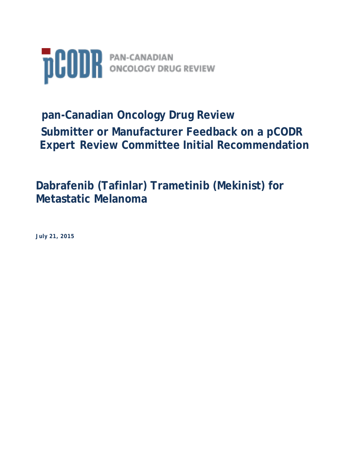

# **pan-Canadian Oncology Drug Review Submitter or Manufacturer Feedback on a pCODR Expert Review Committee Initial Recommendation**

## **Dabrafenib (Tafinlar) Trametinib (Mekinist) for Metastatic Melanoma**

**July 21, 2015**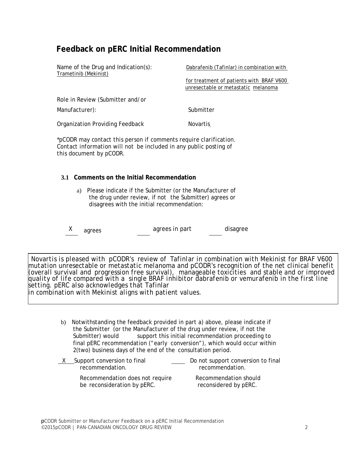## **Feedback on pERC Initial Recommendation**

| Name of the Drug and Indication(s):<br>Trametinib (Mekinist) | Dabrafenib (Tafinlar) in combination with |
|--------------------------------------------------------------|-------------------------------------------|
|                                                              | for treatment of patients with BRAF V600  |
|                                                              | unresectable or metastatic melanoma       |
| Role in Review (Submitter and/or                             |                                           |
| Manufacturer):                                               | Submitter                                 |
| <b>Organization Providing Feedback</b>                       | <b>Novartis</b>                           |

*\*pCODR may contact this person if comments require clarification. Contact information will not be included in any public posting of this document by pCODR.*

#### **3.1 Comments on the Initial Recommendation**

- a) Please indicate if the Submitter (or the Manufacturer of the drug under review, if not the Submitter) agrees or disagrees with the initial recommendation:
- X agrees agrees in part disagree

*Novartis is pleased with pCODR's review of Tafinlar in combination with Mekinist for BRAF V600 mutation unresectable or metastatic melanoma and pCODR's recognition of the net clinical benefit (overall survival and progression free survival), manageable toxicities and stable and or improved quality of life compared with a single BRAF inhibitor dabrafenib or vemurafenib in the first line setting. pERC also acknowledges that Tafinlar in combination with Mekinist aligns with patient values.*

- b) Notwithstanding the feedback provided in part a) above, please indicate if the Submitter (or the Manufacturer of the drug under review, if not the Submitter) would support this initial recommendation proceeding to final pERC recommendation ("early conversion"), which would occur within 2(two) business days of the end of the consultation period.
- $\underline{X}$  Support conversion to final  $\underline{X}$  Do not support conversion to final<br>recommendation<br>recommendation recommendation. Recommendation does not require Recommendation should be reconsideration by pERC. reconsidered by pERC.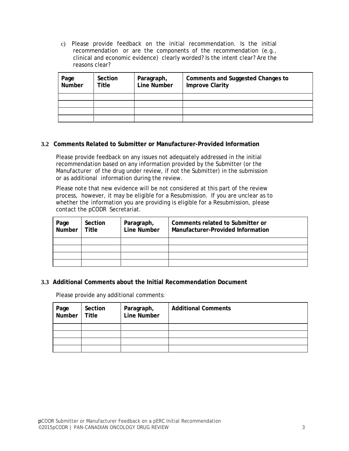c) Please provide feedback on the initial recommendation. Is the initial recommendation or are the components of the recommendation (e.g., clinical and economic evidence) clearly worded? Is the intent clear? Are the reasons clear?

| Page<br>Number | Section<br>Title | Paragraph,<br>Line Number | <b>Comments and Suggested Changes to</b><br><b>Improve Clarity</b> |
|----------------|------------------|---------------------------|--------------------------------------------------------------------|
|                |                  |                           |                                                                    |
|                |                  |                           |                                                                    |
|                |                  |                           |                                                                    |
|                |                  |                           |                                                                    |

#### **3.2 Comments Related to Submitter or Manufacturer-Provided Information**

Please provide feedback on any issues not adequately addressed in the initial recommendation based on any information provided by the Submitter (or the Manufacturer of the drug under review, if not the Submitter) in the submission or as additional information during the review.

Please note that new evidence will be not considered at this part of the review process, however, it may be eligible for a Resubmission. If you are unclear as to whether the information you are providing is eligible for a Resubmission, please contact the pCODR Secretariat.

| Page<br>Number | Section<br>Title | Paragraph,<br>Line Number | Comments related to Submitter or<br>Manufacturer-Provided Information |
|----------------|------------------|---------------------------|-----------------------------------------------------------------------|
|                |                  |                           |                                                                       |
|                |                  |                           |                                                                       |
|                |                  |                           |                                                                       |
|                |                  |                           |                                                                       |

#### **3.3 Additional Comments about the Initial Recommendation Document**

Please provide any additional comments:

| Page   Section<br>Number   Title | Section | Paragraph,<br>Line Number | <b>Additional Comments</b> |
|----------------------------------|---------|---------------------------|----------------------------|
|                                  |         |                           |                            |
|                                  |         |                           |                            |
|                                  |         |                           |                            |
|                                  |         |                           |                            |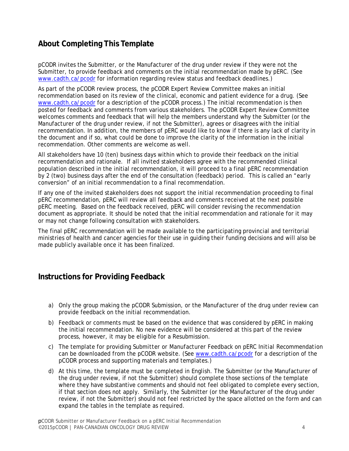## **About Completing This Template**

pCODR invites the Submitter, or the Manufacturer of the drug under review if they were not the Submitter, to provide feedback and comments on the initial recommendation made by pERC. (See www.cadth.ca/pcodr for information regarding review status and feedback deadlines.)

As part of the pCODR review process, the pCODR Expert Review Committee makes an initial recommendation based on its review of the clinical, economic and patient evidence for a drug. (See www.cadth.ca/pcodr for a description of the pCODR process.) The initial recommendation is then posted for feedback and comments from various stakeholders. The pCODR Expert Review Committee welcomes comments and feedback that will help the members understand why the Submitter (or the Manufacturer of the drug under review, if not the Submitter), agrees or disagrees with the initial recommendation. In addition, the members of pERC would like to know if there is any lack of clarity in the document and if so, what could be done to improve the clarity of the information in the initial recommendation. Other comments are welcome as well.

All stakeholders have 10 (ten) business days within which to provide their feedback on the initial recommendation and rationale. If all invited stakeholders agree with the recommended clinical population described in the initial recommendation, it will proceed to a final pERC recommendation by 2 (two) business days after the end of the consultation (feedback) period. This is called an "early conversion" of an initial recommendation to a final recommendation.

If any one of the invited stakeholders does not support the initial recommendation proceeding to final pERC recommendation, pERC will review all feedback and comments received at the next possible pERC meeting. Based on the feedback received, pERC will consider revising the recommendation document as appropriate. It should be noted that the initial recommendation and rationale for it may or may not change following consultation with stakeholders.

The final pERC recommendation will be made available to the participating provincial and territorial ministries of health and cancer agencies for their use in guiding their funding decisions and will also be made publicly available once it has been finalized.

### **Instructions for Providing Feedback**

- a) Only the group making the pCODR Submission, or the Manufacturer of the drug under review can provide feedback on the initial recommendation.
- b) Feedback or comments must be based on the evidence that was considered by pERC in making the initial recommendation. No new evidence will be considered at this part of the review process, however, it may be eligible for a Resubmission.
- c) The template for providing *Submitter or Manufacturer Feedback on pERC Initial Recommendation*  can be downloaded from the pCODR website. (See www.cadth.ca/pcodr for a description of the pCODR process and supporting materials and templates.)
- d) At this time, the template must be completed in English. The Submitter (or the Manufacturer of the drug under review, if not the Submitter) should complete those sections of the template where they have substantive comments and should not feel obligated to complete every section, if that section does not apply. Similarly, the Submitter (or the Manufacturer of the drug under review, if not the Submitter) should not feel restricted by the space allotted on the form and can expand the tables in the template as required.